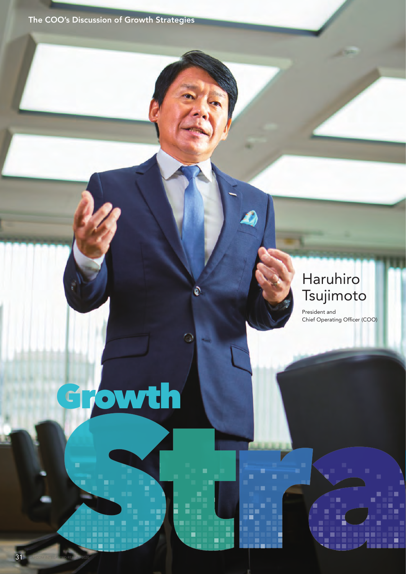# Haruhiro Tsujimoto

President and Chief Operating Officer (COO)

# Strategy owth

€

G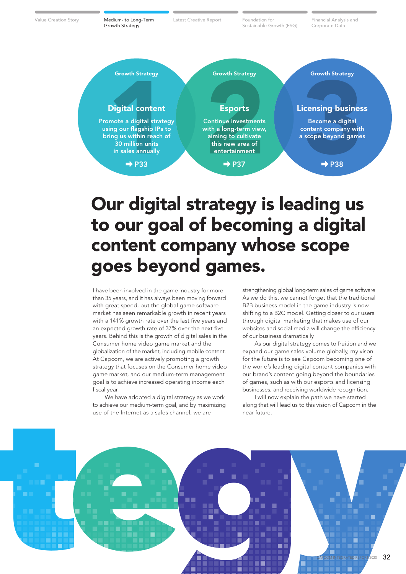Growth Strategy

Value Creation Story **Medium- to Long-Term** Latest Creative Report Foundation for Latest Creative Report Foundation for Financial Analysis and

Sustainable Growth (ESG)

Corporate Data



# Our digital strategy is leading us to our goal of becoming a digital content company whose scope goes beyond games.

I have been involved in the game industry for more than 35 years, and it has always been moving forward with great speed, but the global game software market has seen remarkable growth in recent years with a 141% growth rate over the last five years and an expected growth rate of 37% over the next five years. Behind this is the growth of digital sales in the Consumer home video game market and the globalization of the market, including mobile content. At Capcom, we are actively promoting a growth strategy that focuses on the Consumer home video game market, and our medium-term management goal is to achieve increased operating income each fiscal year.

 We have adopted a digital strategy as we work to achieve our medium-term goal, and by maximizing use of the Internet as a sales channel, we are

strengthening global long-term sales of game software. As we do this, we cannot forget that the traditional B2B business model in the game industry is now shifting to a B2C model. Getting closer to our users through digital marketing that makes use of our websites and social media will change the efficiency of our business dramatically.

 As our digital strategy comes to fruition and we expand our game sales volume globally, my vison for the future is to see Capcom becoming one of the world's leading digital content companies with our brand's content going beyond the boundaries of games, such as with our esports and licensing businesses, and receiving worldwide recognition.

 I will now explain the path we have started along that will lead us to this vision of Capcom in the near future.

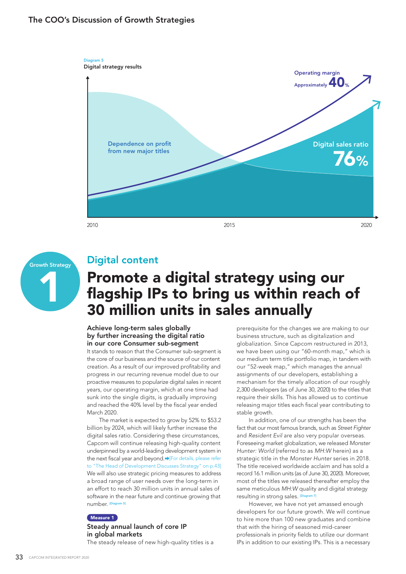## The COO's Discussion of Growth Strategies





## Digital content

# Promote a digital strategy using our flagship IPs to bring us within reach of 30 million units in sales annually

#### Achieve long-term sales globally by further increasing the digital ratio in our core Consumer sub-segment

It stands to reason that the Consumer sub-segment is the core of our business and the source of our content creation. As a result of our improved profitability and progress in our recurring revenue model due to our proactive measures to popularize digital sales in recent years, our operating margin, which at one time had sunk into the single digits, is gradually improving and reached the 40% level by the fiscal year ended March 2020.

 The market is expected to grow by 52% to \$53.2 billion by 2024, which will likely further increase the digital sales ratio. Considering these circumstances, Capcom will continue releasing high-quality content underpinned by a world-leading development system in the next fiscal year and beyond. For details, please refer to "The Head of Development Discusses Strategy" on p.43] We will also use strategic pricing measures to address a broad range of user needs over the long-term in an effort to reach 30 million units in annual sales of software in the near future and continue growing that number. <sup>[Diagr</sup>

#### Measure 1

#### Steady annual launch of core IP in global markets

The steady release of new high-quality titles is a

prerequisite for the changes we are making to our business structure, such as digitalization and globalization. Since Capcom restructured in 2013, we have been using our "60-month map," which is our medium term title portfolio map, in tandem with our "52-week map," which manages the annual assignments of our developers, establishing a mechanism for the timely allocation of our roughly 2,300 developers (as of June 30, 2020) to the titles that require their skills. This has allowed us to continue releasing major titles each fiscal year contributing to stable growth.

 In addition, one of our strengths has been the fact that our most famous brands, such as *Street Fighter* and *Resident Evil* are also very popular overseas. Foreseeing market globalization, we released *Monster Hunter: World* (referred to as *MH:W* herein) as a strategic title in the *Monster Hunter* series in 2018. The title received worldwide acclaim and has sold a record 16.1 million units (as of June 30, 2020). Moreover, most of the titles we released thereafter employ the same meticulous *MH:W* quality and digital strategy resulting in strong sales. <sup>Dia</sup>

 However, we have not yet amassed enough developers for our future growth. We will continue to hire more than 100 new graduates and combine that with the hiring of seasoned mid-career professionals in priority fields to utilize our dormant IPs in addition to our existing IPs. This is a necessary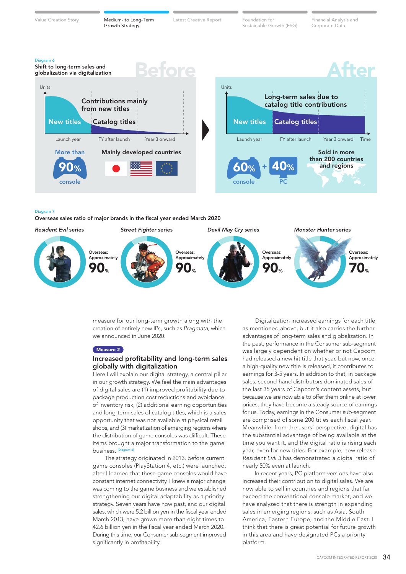Growth Strategy

Value Creation Story **Medium- to Long-Term** Latest Creative Report Foundation for Latest Creative Report Foundation for Financial Analysis and

Sustainable Growth (ESG)

Corporate Data



#### Diagram 7

Overseas sales ratio of major brands in the fiscal year ended March 2020



measure for our long-term growth along with the creation of entirely new IPs, such as *Pragmata*, which we announced in June 2020.

#### Measure 2

#### Increased profitability and long-term sales globally with digitalization

Here I will explain our digital strategy, a central pillar in our growth strategy. We feel the main advantages of digital sales are (1) improved profitability due to package production cost reductions and avoidance of inventory risk, (2) additional earning opportunities and long-term sales of catalog titles, which is a sales opportunity that was not available at physical retail shops, and (3) marketization of emerging regions where the distribution of game consoles was difficult. These items brought a major transformation to the game business.<sup>[1]</sup>

 The strategy originated in 2013, before current game consoles (PlayStation 4, etc.) were launched, after I learned that these game consoles would have constant internet connectivity. I knew a major change was coming to the game business and we established strengthening our digital adaptability as a priority strategy. Seven years have now past, and our digital sales, which were 5.2 billion yen in the fiscal year ended March 2013, have grown more than eight times to 42.6 billion yen in the fiscal year ended March 2020. During this time, our Consumer sub-segment improved significantly in profitability.

 Digitalization increased earnings for each title, as mentioned above, but it also carries the further advantages of long-term sales and globalization. In the past, performance in the Consumer sub-segment was largely dependent on whether or not Capcom had released a new hit title that year, but now, once a high-quality new title is released, it contributes to earnings for 3-5 years. In addition to that, in package sales, second-hand distributors dominated sales of the last 35 years of Capcom's content assets, but because we are now able to offer them online at lower prices, they have become a steady source of earnings for us. Today, earnings in the Consumer sub-segment are comprised of some 200 titles each fiscal year. Meanwhile, from the users' perspective, digital has the substantial advantage of being available at the time you want it, and the digital ratio is rising each year, even for new titles. For example, new release *Resident Evil 3* has demonstrated a digital ratio of nearly 50% even at launch.

 In recent years, PC platform versions have also increased their contribution to digital sales. We are now able to sell in countries and regions that far exceed the conventional console market, and we have analyzed that there is strength in expanding sales in emerging regions, such as Asia, South America, Eastern Europe, and the Middle East. I think that there is great potential for future growth in this area and have designated PCs a priority platform.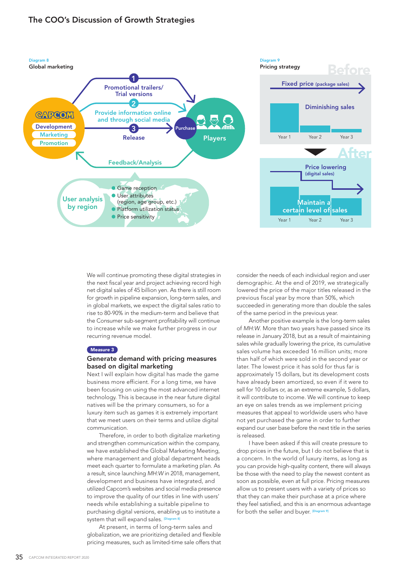### The COO's Discussion of Growth Strategies



We will continue promoting these digital strategies in the next fiscal year and project achieving record high net digital sales of 45 billion yen. As there is still room for growth in pipeline expansion, long-term sales, and in global markets, we expect the digital sales ratio to rise to 80-90% in the medium-term and believe that the Consumer sub-segment profitability will continue to increase while we make further progress in our recurring revenue model.

#### Measure 3

#### Generate demand with pricing measures based on digital marketing

Next I will explain how digital has made the game business more efficient. For a long time, we have been focusing on using the most advanced internet technology. This is because in the near future digital natives will be the primary consumers, so for a luxury item such as games it is extremely important that we meet users on their terms and utilize digital communication.

 Therefore, in order to both digitalize marketing and strengthen communication within the company, we have established the Global Marketing Meeting, where management and global department heads meet each quarter to formulate a marketing plan. As a result, since launching *MH:W* in 2018, management, development and business have integrated, and utilized Capcom's websites and social media presence to improve the quality of our titles in line with users' needs while establishing a suitable pipeline to purchasing digital versions, enabling us to institute a system that will expand sales. <sup>[Diag</sup>

 At present, in terms of long-term sales and globalization, we are prioritizing detailed and flexible pricing measures, such as limited-time sale offers that consider the needs of each individual region and user demographic. At the end of 2019, we strategically lowered the price of the major titles released in the previous fiscal year by more than 50%, which succeeded in generating more than double the sales of the same period in the previous year.

 Another positive example is the long-term sales of *MH:W*. More than two years have passed since its release in January 2018, but as a result of maintaining sales while gradually lowering the price, its cumulative sales volume has exceeded 16 million units; more than half of which were sold in the second year or later. The lowest price it has sold for thus far is approximately 15 dollars, but its development costs have already been amortized, so even if it were to sell for 10 dollars or, as an extreme example, 5 dollars, it will contribute to income. We will continue to keep an eye on sales trends as we implement pricing measures that appeal to worldwide users who have not yet purchased the game in order to further expand our user base before the next title in the series is released.

 I have been asked if this will create pressure to drop prices in the future, but I do not believe that is a concern. In the world of luxury items, as long as you can provide high-quality content, there will always be those with the need to play the newest content as soon as possible, even at full price. Pricing measures allow us to present users with a variety of prices so that they can make their purchase at a price where they feel satisfied, and this is an enormous advantage for both the seller and buver. [Diag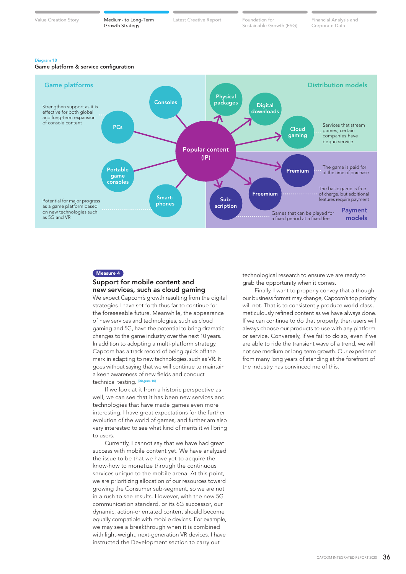Growth Strategy

Value Creation Story **Medium- to Long-Term** Latest Creative Report Foundation for Latest Creative Report Foundation for Financial Analysis and

Sustainable Growth (ESG)

Corporate Data

#### Diagram 10

Game platform & service configuration



#### Measure 4

#### Support for mobile content and new services, such as cloud gaming

We expect Capcom's growth resulting from the digital strategies I have set forth thus far to continue for the foreseeable future. Meanwhile, the appearance of new services and technologies, such as cloud gaming and 5G, have the potential to bring dramatic changes to the game industry over the next 10 years. In addition to adopting a multi-platform strategy, Capcom has a track record of being quick off the mark in adapting to new technologies, such as VR. It goes without saying that we will continue to maintain a keen awareness of new fields and conduct technical testing. <sup>[Di</sup>

 If we look at it from a historic perspective as well, we can see that it has been new services and technologies that have made games even more interesting. I have great expectations for the further evolution of the world of games, and further am also very interested to see what kind of merits it will bring to users.

 Currently, I cannot say that we have had great success with mobile content yet. We have analyzed the issue to be that we have yet to acquire the know-how to monetize through the continuous services unique to the mobile arena. At this point, we are prioritizing allocation of our resources toward growing the Consumer sub-segment, so we are not in a rush to see results. However, with the new 5G communication standard, or its 6G successor, our dynamic, action-orientated content should become equally compatible with mobile devices. For example, we may see a breakthrough when it is combined with light-weight, next-generation VR devices. I have instructed the Development section to carry out

technological research to ensure we are ready to grab the opportunity when it comes.

 Finally, I want to properly convey that although our business format may change, Capcom's top priority will not. That is to consistently produce world-class, meticulously refined content as we have always done. If we can continue to do that properly, then users will always choose our products to use with any platform or service. Conversely, if we fail to do so, even if we are able to ride the transient wave of a trend, we will not see medium or long-term growth. Our experience from many long years of standing at the forefront of the industry has convinced me of this.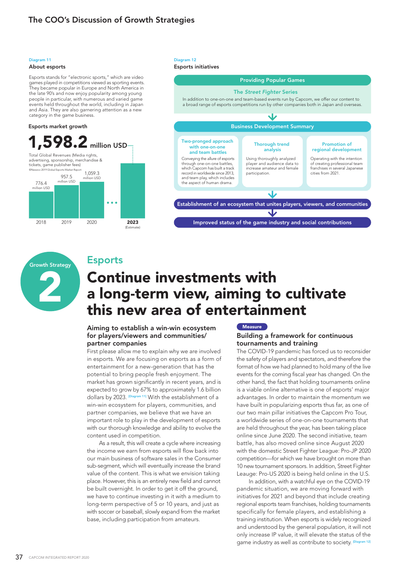## The COO's Discussion of Growth Strategies

#### About esports Esports stands for "electronic sports," which are video games played in competitions viewed as sporting events. They became popular in Europe and North America in the late 90's and now enjoy popularity among young people in particular, with numerous and varied game events held throughout the world, including in Japan and Asia. They are also garnering attention as a new category in the game business. Esports market growth  $598.2$  million USD Total Global Revenues (Media rights, advertising, sponsorship, merchandise & tickets, game publisher fees) ©Newzoo 2019 Global Esports Market Report 1,059.3 million USD 957.5 million USD 776.4 million USD  $\ddot{\phantom{a}}$

2020

2019





2018

Diagram 11

## Esports

2023 (Estimate)

# Continue investments with a long-term view, aiming to cultivate this new area of entertainment

#### Aiming to establish a win-win ecosystem for players/viewers and communities/ partner companies

First please allow me to explain why we are involved in esports. We are focusing on esports as a form of entertainment for a new-generation that has the potential to bring people fresh enjoyment. The market has grown significantly in recent years, and is expected to grow by 67% to approximately 1.6 billion dollars by 2023. [Diagram 11] With the establishment of a win-win ecosystem for players, communities, and partner companies, we believe that we have an important role to play in the development of esports with our thorough knowledge and ability to evolve the content used in competition.

 As a result, this will create a cycle where increasing the income we earn from esports will flow back into our main business of software sales in the Consumer sub-segment, which will eventually increase the brand value of the content. This is what we envision taking place. However, this is an entirely new field and cannot be built overnight. In order to get it off the ground, we have to continue investing in it with a medium to long-term perspective of 5 or 10 years, and just as with soccer or baseball, slowly expand from the market base, including participation from amateurs.

#### **Measure**

#### Building a framework for continuous tournaments and training

The COVID-19 pandemic has forced us to reconsider the safety of players and spectators, and therefore the format of how we had planned to hold many of the live events for the coming fiscal year has changed. On the other hand, the fact that holding tournaments online is a viable online alternative is one of esports' major advantages. In order to maintain the momentum we have built in popularizing esports thus far, as one of our two main pillar initiatives the Capcom Pro Tour, a worldwide series of one-on-one tournaments that are held throughout the year, has been taking place online since June 2020. The second initiative, team battle, has also moved online since August 2020 with the domestic Street Fighter League: Pro-JP 2020 competition—for which we have brought on more than 10 new tournament sponsors. In addition, Street Fighter Leauge: Pro-US 2020 is being held online in the U.S.

 In addition, with a watchful eye on the COVID-19 pandemic situation, we are moving forward with initiatives for 2021 and beyond that include creating regional esports team franchises, holding tournaments specifically for female players, and establishing a training institution. When esports is widely recognized and understood by the general population, it will not only increase IP value, it will elevate the status of the game industry as well as contribute to society. [Diagram 12]